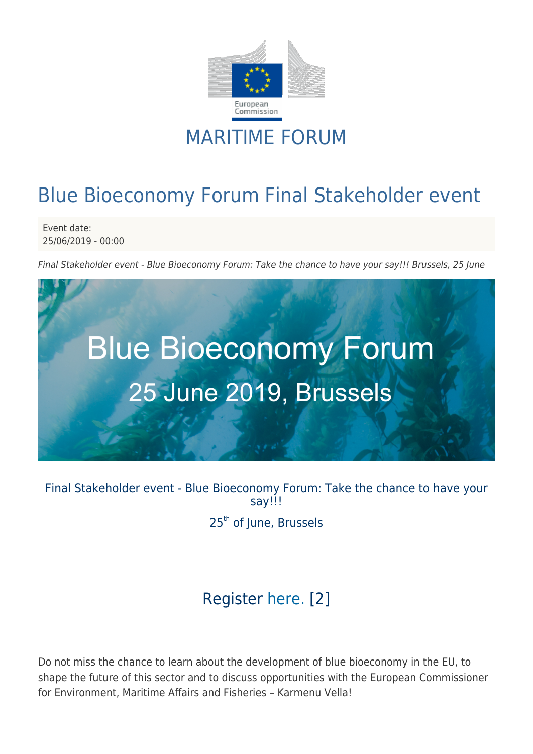

## MARITIME FORUM

# Blue Bioeconomy Forum Final Stakeholder event

Event date: 25/06/2019 - 00:00

Final Stakeholder event - Blue Bioeconomy Forum: Take the chance to have your say!!! Brussels, 25 June



Final Stakeholder event - Blue Bioeconomy Forum: Take the chance to have your say!!! 25<sup>th</sup> of June, Brussels

### Register [here.](http://bluebioeconomyforum.onetec.eu/) [2]

Do not miss the chance to learn about the development of blue bioeconomy in the EU, to shape the future of this sector and to discuss opportunities with the European Commissioner for Environment, Maritime Affairs and Fisheries – Karmenu Vella!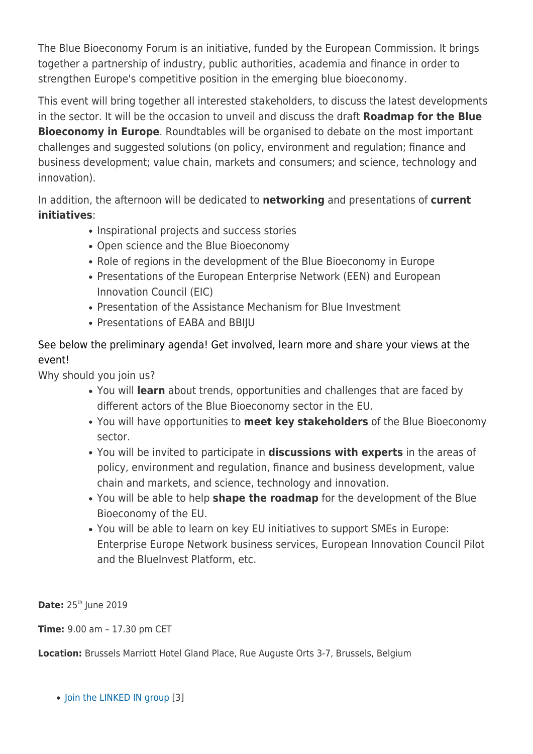The Blue Bioeconomy Forum is an initiative, funded by the European Commission. It brings together a partnership of industry, public authorities, academia and finance in order to strengthen Europe's competitive position in the emerging blue bioeconomy.

This event will bring together all interested stakeholders, to discuss the latest developments in the sector. It will be the occasion to unveil and discuss the draft **Roadmap for the Blue Bioeconomy in Europe**. Roundtables will be organised to debate on the most important challenges and suggested solutions (on policy, environment and regulation; finance and business development; value chain, markets and consumers; and science, technology and innovation).

In addition, the afternoon will be dedicated to **networking** and presentations of **current initiatives**:

- Inspirational projects and success stories
- Open science and the Blue Bioeconomy
- Role of regions in the development of the Blue Bioeconomy in Europe
- Presentations of the European Enterprise Network (EEN) and European Innovation Council (EIC)
- Presentation of the Assistance Mechanism for Blue Investment
- Presentations of EABA and BBIIU

See below the preliminary agenda! Get involved, learn more and share your views at the event!

Why should you join us?

- You will **learn** about trends, opportunities and challenges that are faced by different actors of the Blue Bioeconomy sector in the EU.
- You will have opportunities to **meet key stakeholders** of the Blue Bioeconomy sector.
- You will be invited to participate in **discussions with experts** in the areas of policy, environment and regulation, finance and business development, value chain and markets, and science, technology and innovation.
- You will be able to help **shape the roadmap** for the development of the Blue Bioeconomy of the EU.
- You will be able to learn on key EU initiatives to support SMEs in Europe: Enterprise Europe Network business services, European Innovation Council Pilot and the BlueInvest Platform, etc.

**Date:** 25<sup>th</sup> June 2019

**Time:** 9.00 am – 17.30 pm CET

**Location:** Brussels Marriott Hotel Gland Place, Rue Auguste Orts 3-7, Brussels, Belgium

• [Join the LINKED IN group](https://www.linkedin.com/groups/13621701/) [3]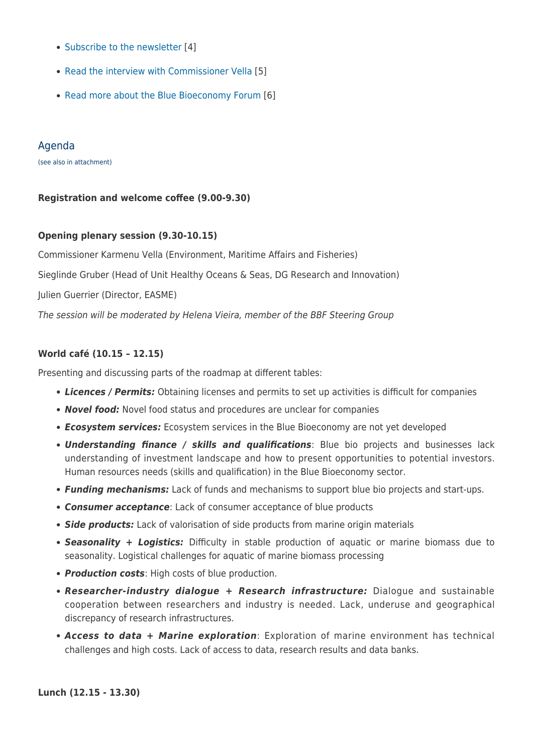- [Subscribe to the newsletter](http://ec.europa.eu/newsroom/bluebioecoforum/subscription-quick-generic-form-fullpage.cfm?service_id=1052) [4]
- [Read the interview with Commissioner Vella](https://webgate.ec.europa.eu/maritimeforum/en/node/4217) [5]
- [Read more about the Blue Bioeconomy Forum](https://webgate.ec.europa.eu/maritimeforum/en/frontpage/1349) [6]

#### Agenda

(see also in attachment)

#### **Registration and welcome coffee (9.00-9.30)**

#### **Opening plenary session (9.30-10.15)**

Commissioner Karmenu Vella (Environment, Maritime Affairs and Fisheries)

Sieglinde Gruber (Head of Unit Healthy Oceans & Seas, DG Research and Innovation)

Julien Guerrier (Director, EASME)

The session will be moderated by Helena Vieira, member of the BBF Steering Group

#### **World café (10.15 – 12.15)**

Presenting and discussing parts of the roadmap at different tables:

- *Licences / Permits:* Obtaining licenses and permits to set up activities is difficult for companies
- *Novel food:* Novel food status and procedures are unclear for companies
- *Ecosystem services:* Ecosystem services in the Blue Bioeconomy are not yet developed
- *Understanding finance / skills and qualifications*: Blue bio projects and businesses lack understanding of investment landscape and how to present opportunities to potential investors. Human resources needs (skills and qualification) in the Blue Bioeconomy sector.
- *Funding mechanisms:* Lack of funds and mechanisms to support blue bio projects and start-ups.
- *Consumer acceptance*: Lack of consumer acceptance of blue products
- *Side products:* Lack of valorisation of side products from marine origin materials
- *Seasonality + Logistics:* Difficulty in stable production of aquatic or marine biomass due to seasonality. Logistical challenges for aquatic of marine biomass processing
- *Production costs*: High costs of blue production.
- *Researcher-industry dialogue + Research infrastructure:* Dialogue and sustainable cooperation between researchers and industry is needed. Lack, underuse and geographical discrepancy of research infrastructures.
- *Access to data + Marine exploration*: Exploration of marine environment has technical challenges and high costs. Lack of access to data, research results and data banks.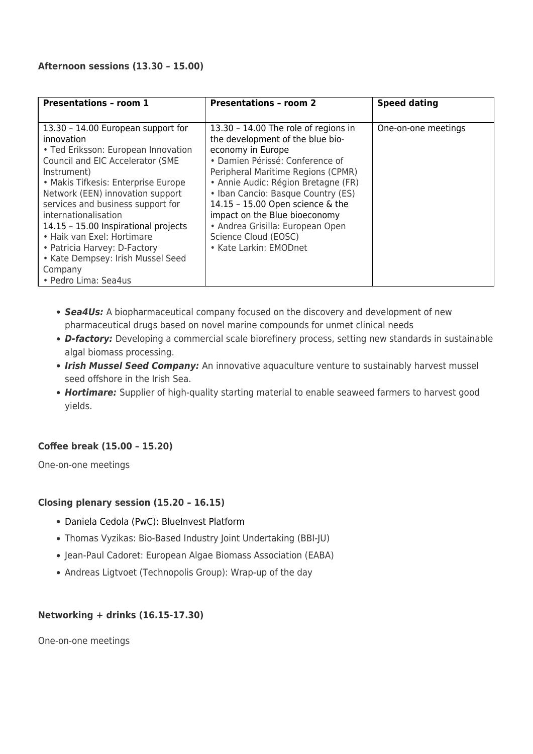#### **Afternoon sessions (13.30 – 15.00)**

| <b>Presentations - room 1</b>                                                                                                                                                                                                                                                                                                                                                                                                                                    | <b>Presentations - room 2</b>                                                                                                                                                                                                                                                                                                                                                                                  | <b>Speed dating</b> |
|------------------------------------------------------------------------------------------------------------------------------------------------------------------------------------------------------------------------------------------------------------------------------------------------------------------------------------------------------------------------------------------------------------------------------------------------------------------|----------------------------------------------------------------------------------------------------------------------------------------------------------------------------------------------------------------------------------------------------------------------------------------------------------------------------------------------------------------------------------------------------------------|---------------------|
| 13.30 - 14.00 European support for<br>innovation<br>• Ted Eriksson: European Innovation<br>Council and EIC Accelerator (SME<br>Instrument)<br>• Makis Tifkesis: Enterprise Europe<br>Network (EEN) innovation support<br>services and business support for<br>internationalisation<br>14.15 - 15.00 Inspirational projects<br>• Haik van Exel: Hortimare<br>• Patricia Harvey: D-Factory<br>• Kate Dempsey: Irish Mussel Seed<br>Company<br>• Pedro Lima: Sea4us | 13.30 - 14.00 The role of regions in<br>the development of the blue bio-<br>economy in Europe<br>• Damien Périssé: Conference of<br>Peripheral Maritime Regions (CPMR)<br>• Annie Audic: Région Bretagne (FR)<br>• Iban Cancio: Basque Country (ES)<br>14.15 - 15.00 Open science & the<br>impact on the Blue bioeconomy<br>• Andrea Grisilla: European Open<br>Science Cloud (EOSC)<br>• Kate Larkin: EMODnet | One-on-one meetings |

- *Sea4Us:* A biopharmaceutical company focused on the discovery and development of new pharmaceutical drugs based on novel marine compounds for unmet clinical needs
- *D-factory:* Developing a commercial scale biorefinery process, setting new standards in sustainable algal biomass processing.
- *Irish Mussel Seed Company:* An innovative aquaculture venture to sustainably harvest mussel seed offshore in the Irish Sea.
- *Hortimare:* Supplier of high-quality starting material to enable seaweed farmers to harvest good yields.

#### **Coffee break (15.00 – 15.20)**

One-on-one meetings

#### **Closing plenary session (15.20 – 16.15)**

- Daniela Cedola (PwC): BlueInvest Platform
- Thomas Vyzikas: Bio-Based Industry Joint Undertaking (BBI-JU)
- Jean-Paul Cadoret: European Algae Biomass Association (EABA)
- Andreas Ligtvoet (Technopolis Group): Wrap-up of the day

#### **Networking + drinks (16.15-17.30)**

One-on-one meetings